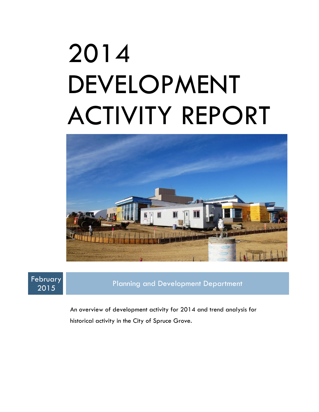# 2014 DEVELOPMENT ACTIVITY REPORT





<sup>2015</sup> Planning and Development Department

An overview of development activity for 2014 and trend analysis for historical activity in the City of Spruce Grove.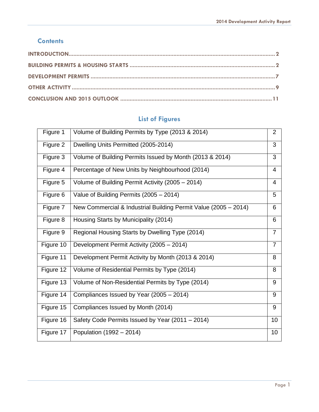#### **Contents**

## **List of Figures**

<span id="page-1-0"></span>

| Figure 1  | Volume of Building Permits by Type (2013 & 2014)                | $\overline{2}$ |
|-----------|-----------------------------------------------------------------|----------------|
| Figure 2  | Dwelling Units Permitted (2005-2014)                            | 3              |
| Figure 3  | Volume of Building Permits Issued by Month (2013 & 2014)        | 3              |
| Figure 4  | Percentage of New Units by Neighbourhood (2014)                 | $\overline{4}$ |
| Figure 5  | Volume of Building Permit Activity (2005 - 2014)                | $\overline{4}$ |
| Figure 6  | Value of Building Permits (2005 - 2014)                         | 5              |
| Figure 7  | New Commercial & Industrial Building Permit Value (2005 - 2014) | 6              |
| Figure 8  | Housing Starts by Municipality (2014)                           | 6              |
| Figure 9  | Regional Housing Starts by Dwelling Type (2014)                 | $\overline{7}$ |
| Figure 10 | Development Permit Activity (2005 - 2014)                       | $\overline{7}$ |
| Figure 11 | Development Permit Activity by Month (2013 & 2014)              | 8              |
| Figure 12 | Volume of Residential Permits by Type (2014)                    | 8              |
| Figure 13 | Volume of Non-Residential Permits by Type (2014)                | 9              |
| Figure 14 | Compliances Issued by Year (2005 - 2014)                        | 9              |
| Figure 15 | Compliances Issued by Month (2014)                              | 9              |
| Figure 16 | Safety Code Permits Issued by Year (2011 – 2014)                | 10             |
| Figure 17 | Population (1992 – 2014)                                        | 10             |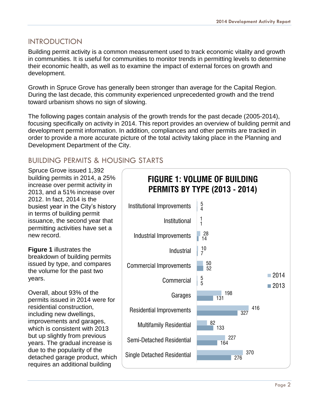### INTRODUCTION

Building permit activity is a common measurement used to track economic vitality and growth in communities. It is useful for communities to monitor trends in permitting levels to determine their economic health, as well as to examine the impact of external forces on growth and development.

Growth in Spruce Grove has generally been stronger than average for the Capital Region. During the last decade, this community experienced unprecedented growth and the trend toward urbanism shows no sign of slowing.

The following pages contain analysis of the growth trends for the past decade (2005-2014), focusing specifically on activity in 2014. This report provides an overview of building permit and development permit information. In addition, compliances and other permits are tracked in order to provide a more accurate picture of the total activity taking place in the Planning and Development Department of the City.

## <span id="page-2-0"></span>BUILDING PERMITS & HOUSING STARTS

Spruce Grove issued 1,392 building permits in 2014, a 25% increase over permit activity in 2013, and a 51% increase over 2012. In fact, 2014 is the busiest year in the City's history in terms of building permit issuance, the second year that permitting activities have set a new record.

**Figure 1** illustrates the breakdown of building permits issued by type, and compares the volume for the past two years.

Overall, about 93% of the permits issued in 2014 were for residential construction, including new dwellings, improvements and garages, which is consistent with 2013 but up slightly from previous years. The gradual increase is due to the popularity of the detached garage product, which requires an additional building

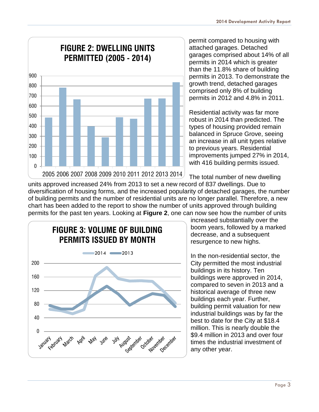

permit compared to housing with attached garages. Detached garages comprised about 14% of all permits in 2014 which is greater than the 11.8% share of building permits in 2013. To demonstrate the growth trend, detached garages comprised only 8% of building permits in 2012 and 4.8% in 2011.

Residential activity was far more robust in 2014 than predicted. The types of housing provided remain balanced in Spruce Grove, seeing an increase in all unit types relative to previous years. Residential improvements jumped 27% in 2014, with 416 building permits issued.

The total number of new dwelling units approved increased 24% from 2013 to set a new record of 837 dwellings. Due to diversification of housing forms, and the increased popularity of detached garages, the number of building permits and the number of residential units are no longer parallel. Therefore, a new chart has been added to the report to show the number of units approved through building permits for the past ten years. Looking at **Figure 2**, one can now see how the number of units



increased substantially over the boom years, followed by a marked decrease, and a subsequent resurgence to new highs.

In the non-residential sector, the City permitted the most industrial buildings in its history. Ten buildings were approved in 2014, compared to seven in 2013 and a historical average of three new buildings each year. Further, building permit valuation for new industrial buildings was by far the best to date for the City at \$18.4 million. This is nearly double the \$9.4 million in 2013 and over four times the industrial investment of any other year.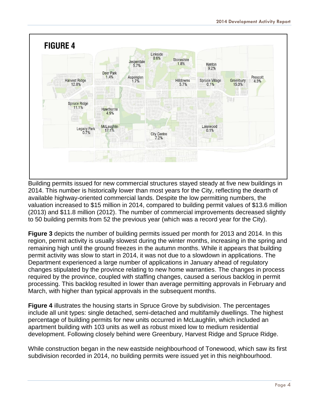

Building permits issued for new commercial structures stayed steady at five new buildings in 2014. This number is historically lower than most years for the City, reflecting the dearth of available highway-oriented commercial lands. Despite the low permitting numbers, the valuation increased to \$15 million in 2014, compared to building permit values of \$13.6 million (2013) and \$11.8 million (2012). The number of commercial improvements decreased slightly to 50 building permits from 52 the previous year (which was a record year for the City).

**Figure 3** depicts the number of building permits issued per month for 2013 and 2014. In this region, permit activity is usually slowest during the winter months, increasing in the spring and remaining high until the ground freezes in the autumn months. While it appears that building permit activity was slow to start in 2014, it was not due to a slowdown in applications. The Department experienced a large number of applications in January ahead of regulatory changes stipulated by the province relating to new home warranties. The changes in process required by the province, coupled with staffing changes, caused a serious backlog in permit processing. This backlog resulted in lower than average permitting approvals in February and March, with higher than typical approvals in the subsequent months.

**Figure 4** illustrates the housing starts in Spruce Grove by subdivision. The percentages include all unit types: single detached, semi-detached and multifamily dwellings. The highest percentage of building permits for new units occurred in McLaughlin, which included an apartment building with 103 units as well as robust mixed low to medium residential development. Following closely behind were Greenbury, Harvest Ridge and Spruce Ridge.

While construction began in the new eastside neighbourhood of Tonewood, which saw its first subdivision recorded in 2014, no building permits were issued yet in this neighbourhood.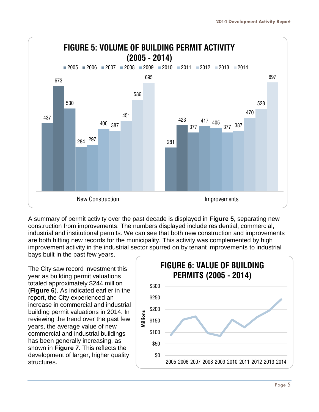

A summary of permit activity over the past decade is displayed in **Figure 5**, separating new construction from improvements. The numbers displayed include residential, commercial, industrial and institutional permits. We can see that both new construction and improvements are both hitting new records for the municipality. This activity was complemented by high improvement activity in the industrial sector spurred on by tenant improvements to industrial bays built in the past few years.

The City saw record investment this year as building permit valuations totaled approximately \$244 million (**Figure 6**). As indicated earlier in the report, the City experienced an increase in commercial and industrial building permit valuations in 2014. In reviewing the trend over the past few years, the average value of new commercial and industrial buildings has been generally increasing, as shown in **Figure 7.** This reflects the development of larger, higher quality structures.

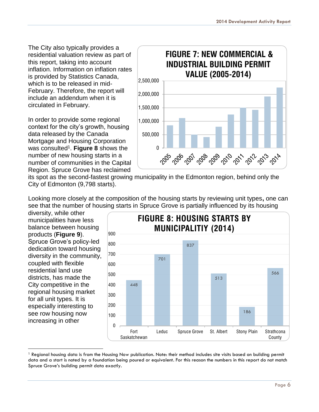The City also typically provides a residential valuation review as part of this report, taking into account inflation. Information on inflation rates is provided by Statistics Canada, which is to be released in mid-February. Therefore, the report will include an addendum when it is circulated in February.

In order to provide some regional context for the city's growth, housing data released by the Canada Mortgage and Housing Corporation was consulted<sup>1</sup>. Figure 8 shows the number of new housing starts in a number of communities in the Capital Region. Spruce Grove has reclaimed



its spot as the second-fastest growing municipality in the Edmonton region, behind only the City of Edmonton (9,798 starts).

Looking more closely at the composition of the housing starts by reviewing unit types**,** one can see that the number of housing starts in Spruce Grove is partially influenced by its housing

diversity, while other municipalities have less balance between housing products (**Figure 9**). Spruce Grove's policy-led dedication toward housing diversity in the community, coupled with flexible residential land use districts, has made the City competitive in the regional housing market for all unit types. It is especially interesting to see row housing now increasing in other

l



<sup>&</sup>lt;sup>1</sup> Regional housing data is from the Housing Now publication. Note: their method includes site visits based on building permit data and a start is noted by a foundation being poured or equivalent. For this reason the numbers in this report do not match Spruce Grove's building permit data exactly.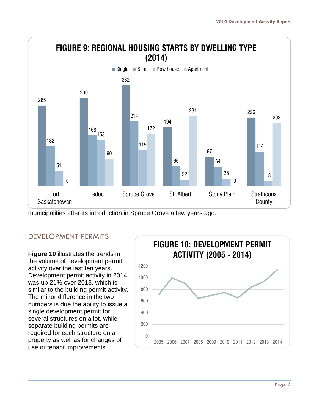

municipalities after its introduction in Spruce Grove a few years ago.

### <span id="page-7-0"></span>DEVELOPMENT PERMITS

**Figure 10** illustrates the trends in the volume of development permit activity over the last ten years. Development permit activity in 2014 was up 21% over 2013, which is similar to the building permit activity. The minor difference in the two numbers is due the ability to issue a single development permit for several structures on a lot, while separate building permits are required for each structure on a property as well as for changes of use or tenant improvements.

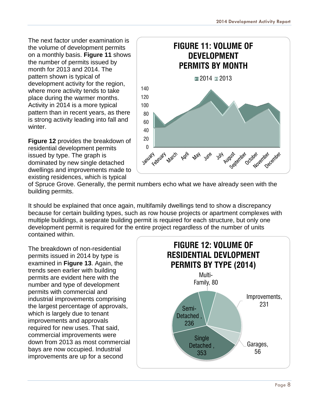The next factor under examination is the volume of development permits on a monthly basis. **Figure 11** shows the number of permits issued by month for 2013 and 2014. The pattern shown is typical of development activity for the region, where more activity tends to take place during the warmer months. Activity in 2014 is a more typical pattern than in recent years, as there is strong activity leading into fall and winter.

**Figure 12** provides the breakdown of residential development permits issued by type. The graph is dominated by new single detached dwellings and improvements made to existing residences, which is typical



of Spruce Grove. Generally, the permit numbers echo what we have already seen with the building permits.

It should be explained that once again, multifamily dwellings tend to show a discrepancy because for certain building types, such as row house projects or apartment complexes with multiple buildings, a separate building permit is required for each structure, but only one development permit is required for the entire project regardless of the number of units contained within.

The breakdown of non-residential permits issued in 2014 by type is examined in **Figure 13**. Again, the trends seen earlier with building permits are evident here with the number and type of development permits with commercial and industrial improvements comprising the largest percentage of approvals, which is largely due to tenant improvements and approvals required for new uses. That said, commercial improvements were down from 2013 as most commercial bays are now occupied. Industrial improvements are up for a second

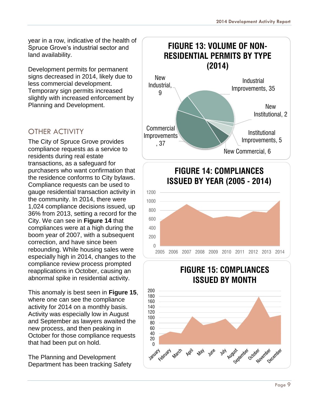year in a row, indicative of the health of Spruce Grove's industrial sector and land availability.

Development permits for permanent signs decreased in 2014, likely due to less commercial development. Temporary sign permits increased slightly with increased enforcement by Planning and Development.

## <span id="page-9-0"></span>OTHER ACTIVITY

The City of Spruce Grove provides compliance requests as a service to residents during real estate transactions, as a safeguard for purchasers who want confirmation that the residence conforms to City bylaws. Compliance requests can be used to gauge residential transaction activity in the community. In 2014, there were 1,024 compliance decisions issued, up 36% from 2013, setting a record for the City. We can see in **Figure 14** that compliances were at a high during the boom year of 2007, with a subsequent correction, and have since been rebounding. While housing sales were especially high in 2014, changes to the compliance review process prompted reapplications in October, causing an abnormal spike in residential activity.

This anomaly is best seen in **Figure 15**, where one can see the compliance activity for 2014 on a monthly basis. Activity was especially low in August and September as lawyers awaited the new process, and then peaking in October for those compliance requests that had been put on hold.

The Planning and Development Department has been tracking Safety

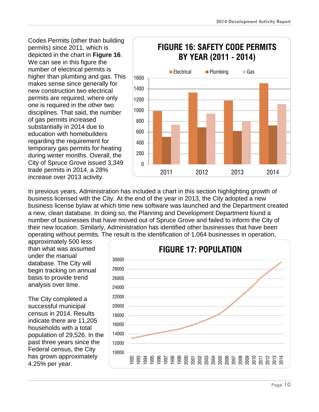Codes Permits (other than building permits) since 2011, which is depicted in the chart in **Figure 16**. We can see in this figure the number of electrical permits is higher than plumbing and gas. This makes sense since generally for new construction two electrical permits are required, where only one is required in the other two disciplines. That said, the number of gas permits increased substantially in 2014 due to education with homebuilders regarding the requirement for temporary gas permits for heating during winter months. Overall, the City of Spruce Grove issued 3,349 trade permits in 2014, a 28% increase over 2013 activity.



In previous years, Administration has included a chart in this section highlighting growth of business licensed with the City. At the end of the year in 2013, the City adopted a new business license bylaw at which time new software was launched and the Department created a new, clean database. In doing so, the Planning and Development Department found a number of businesses that have moved out of Spruce Grove and failed to inform the City of their new location. Similarly, Administration has identified other businesses that have been operating without permits. The result is the identification of 1,064 businesses in operation,

approximately 500 less than what was assumed under the manual database. The City will begin tracking on annual basis to provide trend analysis over time.

The City completed a successful municipal census in 2014. Results indicate there are 11,205 households with a total population of 29,526. In the past three years since the Federal census, the City has grown approximately 4.25% per year.